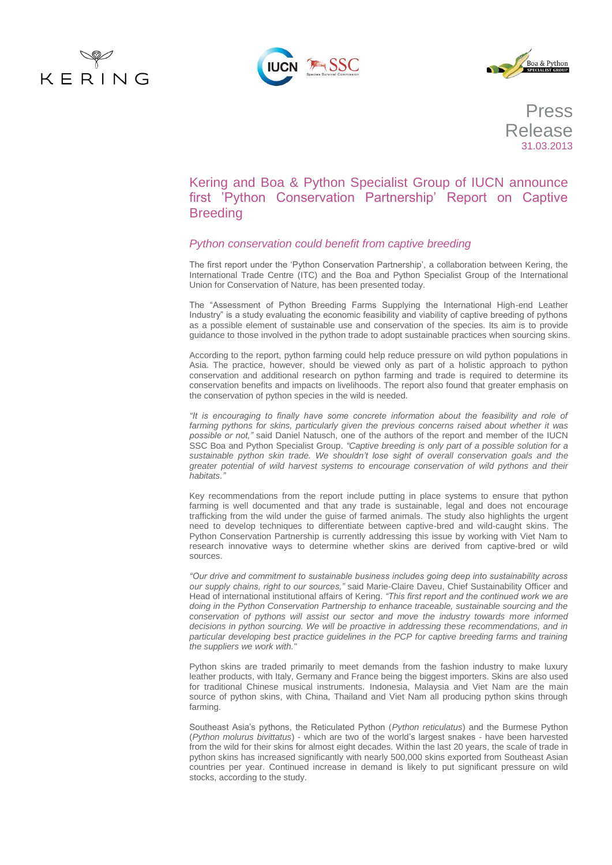





Press Release 31.03.2013

Kering and Boa & Python Specialist Group of IUCN announce first 'Python Conservation Partnership' Report on Captive **Breeding** 

# *Python conservation could benefit from captive breeding*

The first report under the 'Python Conservation Partnership', a collaboration between Kering, the International Trade Centre (ITC) and the Boa and Python Specialist Group of the International Union for Conservation of Nature, has been presented today.

The "Assessment of Python Breeding Farms Supplying the International High-end Leather Industry" is a study evaluating the economic feasibility and viability of captive breeding of pythons as a possible element of sustainable use and conservation of the species. Its aim is to provide guidance to those involved in the python trade to adopt sustainable practices when sourcing skins.

According to the report, python farming could help reduce pressure on wild python populations in Asia. The practice, however, should be viewed only as part of a holistic approach to python conservation and additional research on python farming and trade is required to determine its conservation benefits and impacts on livelihoods. The report also found that greater emphasis on the conservation of python species in the wild is needed.

*"It is encouraging to finally have some concrete information about the feasibility and role of farming pythons for skins, particularly given the previous concerns raised about whether it was possible or not,"* said Daniel Natusch, one of the authors of the report and member of the IUCN SSC Boa and Python Specialist Group. *"Captive breeding is only part of a possible solution for a sustainable python skin trade. We shouldn't lose sight of overall conservation goals and the greater potential of wild harvest systems to encourage conservation of wild pythons and their habitats."*

Key recommendations from the report include putting in place systems to ensure that python farming is well documented and that any trade is sustainable, legal and does not encourage trafficking from the wild under the guise of farmed animals. The study also highlights the urgent need to develop techniques to differentiate between captive-bred and wild-caught skins. The Python Conservation Partnership is currently addressing this issue by working with Viet Nam to research innovative ways to determine whether skins are derived from captive-bred or wild sources.

*"Our drive and commitment to sustainable business includes going deep into sustainability across our supply chains, right to our sources,"* said Marie-Claire Daveu, Chief Sustainability Officer and Head of international institutional affairs of Kering. *"This first report and the continued work we are doing in the Python Conservation Partnership to enhance traceable, sustainable sourcing and the*  conservation of pythons will assist our sector and move the industry towards more informed *decisions in python sourcing. We will be proactive in addressing these recommendations, and in particular developing best practice guidelines in the PCP for captive breeding farms and training the suppliers we work with."*

Python skins are traded primarily to meet demands from the fashion industry to make luxury leather products, with Italy, Germany and France being the biggest importers. Skins are also used for traditional Chinese musical instruments. Indonesia, Malaysia and Viet Nam are the main source of python skins, with China, Thailand and Viet Nam all producing python skins through farming.

Southeast Asia's pythons, the Reticulated Python (*Python reticulatus*) and the Burmese Python (*Python molurus bivittatus*) - which are two of the world's largest snakes - have been harvested from the wild for their skins for almost eight decades. Within the last 20 years, the scale of trade in python skins has increased significantly with nearly 500,000 skins exported from Southeast Asian countries per year. Continued increase in demand is likely to put significant pressure on wild stocks, according to the study.